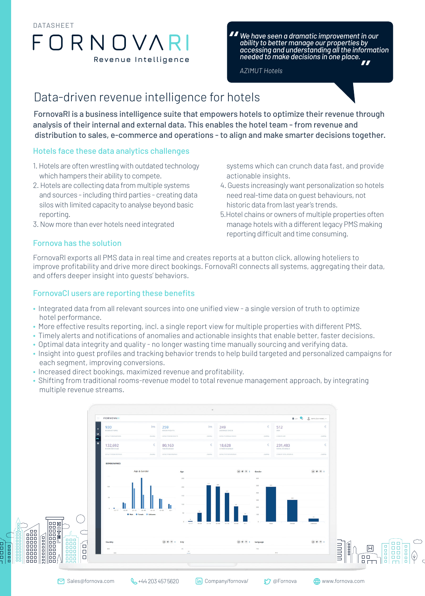# **Revenue Intelligence** R I DATASHEET

# *We have seen a dramatic improvement in our ability to better manage our properties by accessing and understanding all the information*  **needed to make decisions in one place.**<br>**AZIMUT Hotels** "<br>"<br>"

*AZIMUT Hotels*

# Data-driven revenue intelligence for hotels

FornovaRl is a business intelligence suite that empowers hotels to optimize their revenue through analysis of their internal and external data. This enables the hotel team - from revenue and distribution to sales, e-commerce and operations - to align and make smarter decisions together.

### Hotels face these data analytics challenges

- 1. Hotels are often wrestling with outdated technology which hampers their ability to compete.
- 2. Hotels are collecting data from multiple systems and sources - including third parties - creating data silos with limited capacity to analyse beyond basic reporting.
- 3. Now more than ever hotels need integrated

### Fornova has the solution

- systems which can crunch data fast, and provide actionable insights.
- 4. Guests increasingly want personalization so hotels need real-time data on guest behaviours, not historic data from last year's trends.
- 5.Hotel chains or owners of multiple properties often manage hotels with a different legacy PMS making reporting difficult and time consuming.

FornovaRl exports all PMS data in real time and creates reports at a button click, allowing hoteliers to improve profitability and drive more direct bookings. FornovaRI connects all systems, aggregating their data, and offers deeper insight into guests' behaviors.

### FornovaCI users are reporting these benefits

- Integrated data from all relevant sources into one unified view a single version of truth to optimize hotel performance.
- More effective results reporting, incl. a single report view for multiple properties with different PMS.
- Timely alerts and notifications of anomalies and actionable insights that enable better, faster decisions.
- Optimal data integrity and quality no longer wasting time manually sourcing and verifying data.
- Insight into guest profiles and tracking behavior trends to help build targeted and personalized campaigns for each segment, improving conversions.
- Increased direct bookings, maximized revenue and profitability.
- Shifting from traditional rooms-revenue model to total revenue management approach, by integrating multiple revenue streams.